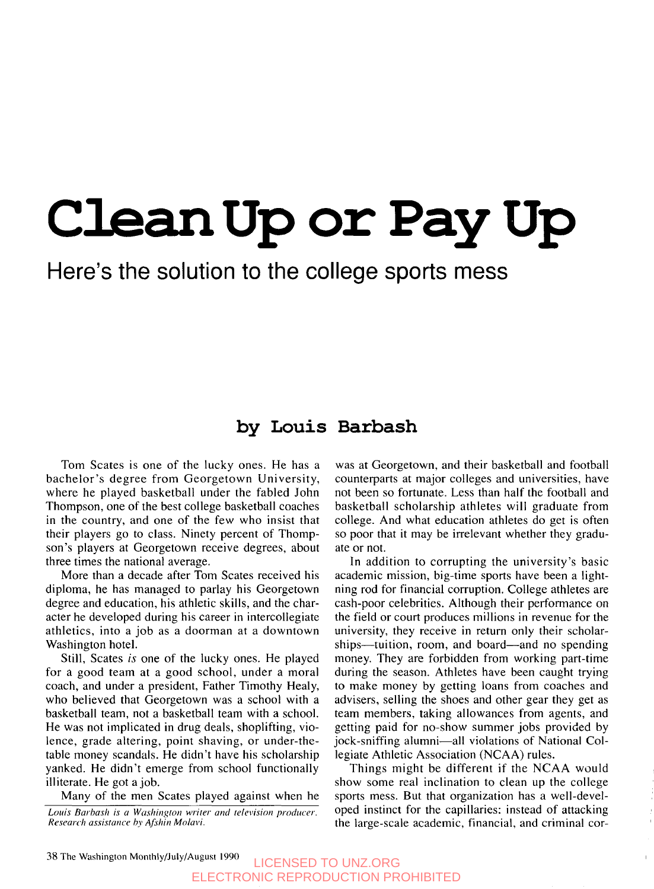# **Clean Up or Pay Up**

Here's the solution to the college sports mess

### **by Louis Barbash**

Tom Scates is one of the lucky ones. He has a bachelor's degree from Georgetown University, where he played basketball under the fabled John Thompson, one of the best college basketball coaches in the country, and one of the few who insist that their players go to class. Ninety percent of Thompson's players at Georgetown receive degrees, about three times the national average.

More than a decade after Tom Scates received his diploma, he has managed to parlay his Georgetown degree and education, his athletic skills, and the character he developed during his career in intercollegiate athletics, into a job as a doorman at a downtown Washington hotel.

Still, Scates *is* one of the lucky ones. He played for a good team at a good school, under a moral coach, and under a president, Father Timothy Healy, who believed that Georgetown was a school with a basketball team, not a basketball team with a school. He was not implicated in drug deals, shoplifting, violence, grade altering, point shaving, or under-thetable money scandals. He didn't have his scholarship yanked. He didn't emerge from school functionally illiterate. He got a job.

Many of the men Scates played against when he *Louis Barbash is a Washington writer and television producer. Research ussisrurice by Afshin Molavi.* 

was at Georgetown, and their basketball and football counterparts at major colleges and universities, have not been so fortunate. Less than half the football and basketball scholarship athletes will graduate from college. And what education athletes do get is often so poor that it may be irrelevant whether they graduate or not.

In addition to corrupting the university's basic academic mission, big-time sports have been a lightning rod for financial corruption. College athletes are cash-poor celebrities. Although their performance on the field or court produces millions in revenue for the university, they receive in return only their scholarships—tuition, room, and board—and no spending money. They are forbidden from working part-time during the season. Athletes have been caught trying to make money by getting loans from coaches and advisers, selling the shoes and other gear they get as team members, taking allowances from agents, and getting paid for no-show summer jobs provided by jock-sniffing alumni—all violations of National Collegiate Athletic Association (NCAA) rules.

Things might be different if the NCAA would show some real inclination to clean up the college sports mess. But that organization has a well-developed instinct for the capillaries: instead of attacking the large-scale academic, financial, and criminal cor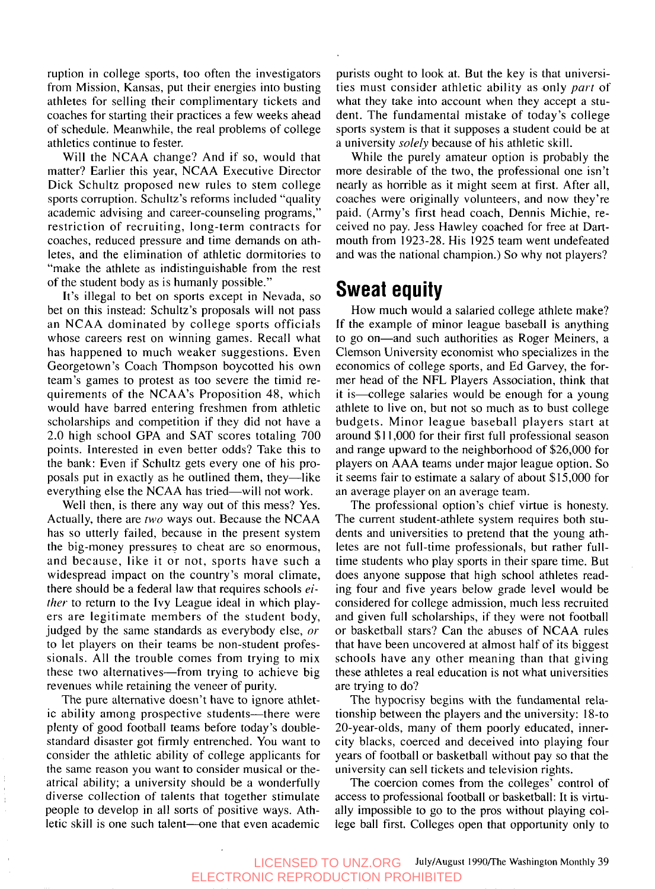ruption in college sports, too often the investigators from Mission, Kansas, put their energies into busting athletes for selling their complimentary tickets and coaches for starting their practices a few weeks ahead of schedule. Meanwhile, the real problems of college athletics continue to fester.

Will the NCAA change? And if so, would that matter? Earlier this year, NCAA Executive Director Dick Schultz proposed new rules to stem college sports corruption. Schultz's reforms included "quality academic advising and career-counseling programs," restriction of recruiting, long-term contracts for coaches, reduced pressure and time demands on athletes, and the elimination of athletic dormitories to "make the athlete as indistinguishable from the rest

of the student body as is humanly possible."<br>It's illegal to bet on sports except in Nevada, so<br>**Sweat equity** bet on this instead: Schultz's proposals will not pass an NCAA dominated by college sports officials whose careers rest on winning games. Recall what has happened to much weaker suggestions. Even Georgetown's Coach Thompson boycotted his own team's games to protest as too severe the timid requirements of the NCAA's Proposition 48, which would have barred entering freshmen from athletic scholarships and competition if they did not have a 2.0 high school GPA and SAT scores totaling 700 points. Interested in even better odds? Take this to the bank: Even if Schultz gets every one of his proposals put in exactly as he outlined them, they—like everything else the NCAA has tried-will not work.

Well then, is there any way out of this mess? Yes. Actually, there are *mo* ways out. Because the NCAA has so utterly failed, because in the present system the big-money pressures to cheat are so enormous, and because, like it or not, sports have such a widespread impact on the country's moral climate, there should be a federal law that requires schools *either* to return to the Ivy League ideal in which players are legitimate members of the student body, judged by the same standards as everybody else, *or*  to let players on their teams be non-student professionals. All the trouble comes from trying to mix these two alternatives—from trying to achieve big revenues while retaining the veneer of purity.

The pure alternative doesn't have to ignore athletic ability among prospective students—there were plenty of good football teams before today's doublestandard disaster got firmly entrenched. You want to consider the athletic ability of college applicants for the same reason you want to consider musical or theatrical ability; a university should be a wonderfully diverse collection of talents that together stimulate people to develop in all sorts of positive ways. Athletic skill is one such talent—one that even academic

purists ought to look at. But the key is that universities must consider athletic ability as only *purt* of what they take into account when they accept a student. The fundamental mistake of today's college sports system is that it supposes a student could be at a university *solely* because of his athletic skill.

While the purely amateur option is probably the more desirable of the two, the professional one isn't nearly as horrible as it might seem at first. After all, coaches were originally volunteers, and now they're paid. (Army's first head coach, Dennis Michie, received no pay. Jess Hawley coached for free at Dartmouth from 1923-28. His 1925 team went undefeated and was the national champion.) So why not players?

How much would a salaried college athlete make? If the example of minor league baseball is anything to go on-and such authorities as Roger Meiners, a Clemson University economist who specializes in the economics of college sports, and Ed Garvey, the former head of the NFL Players Association, think that it is—college salaries would be enough for a young athlete to live on, but not so much as to bust college budgets. Minor league baseball players start at around **\$1** 1,000 for their first full professional season and range upward to the neighborhood of \$26,000 for players on AAA teams under major league option. So it seems fair to estimate a salary of about \$15,000 for an average player on an average team.

The professional option's chief virtue is honesty. The current student-athlete system requires both students and universities to pretend that the young athletes are not full-time professionals, but rather fulltime students who play sports in their spare time. But does anyone suppose that high school athletes reading four and five years below grade level would be considered for college admission, much less recruited and given full scholarships, if they were not football or basketball stars? Can the abuses of NCAA rules that have been uncovered at almost half of its biggest schools have any other meaning than that giving these athletes a real education is not what universities are trying to do?

The hypocrisy begins with the fundamental relationship between the players and the university: 18-to 20-year-olds, many of them poorly educated, innercity blacks, coerced and deceived into playing four years of football or basketball without pay so that the university can sell tickets and television rights.

The coercion comes from the colleges' control of access to professional football or basketball: It is virtually impossible to go to the pros without playing college ball first. Colleges open that opportunity only to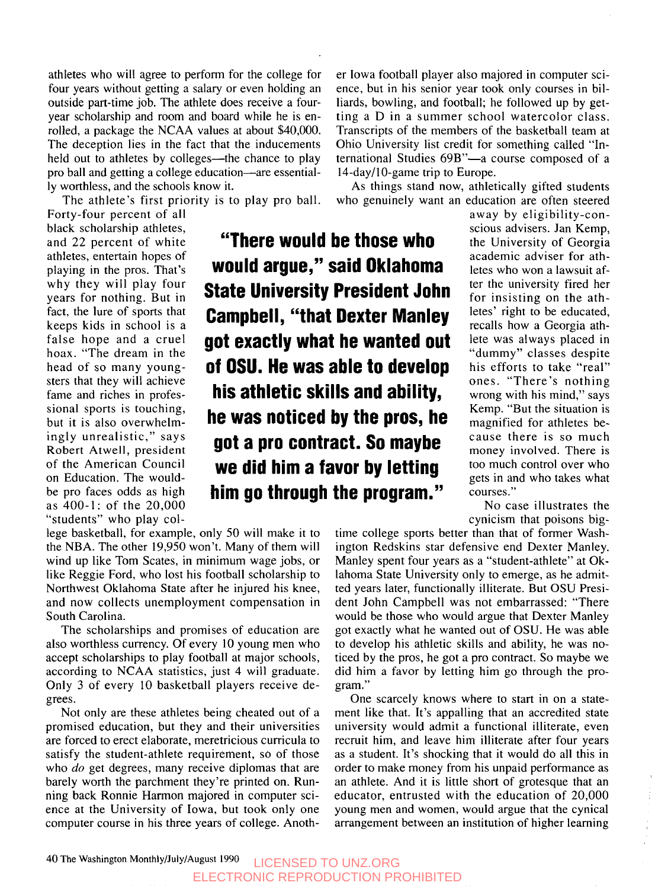athletes who will agree to perform for the college for four years without getting a salary or even holding an outside part-time job. The athlete does receive a fouryear scholarship and room and board while he is enrolled, a package the NCAA values at about \$40,000. The deception lies in the fact that the inducements held out to athletes by colleges—the chance to play pro ball and getting a college education-are essentially worthless, and the schools know it.

The athlete's first priority is to play pro ball.

Forty-four percent of all black scholarship athletes, and 22 percent of white athletes, entertain hopes of playing in the pros. That's why they will play four years for nothing. But in fact, the lure of sports that keeps kids in school is a false hope and a cruel hoax. "The dream in the head of so many youngsters that they will achieve fame and riches in professional sports is touching, but it is also overwhelmingly unrealistic," says Robert Atwell, president of the American Council on Education. The wouldbe pro faces odds as high as 400-1: of the 20,000 "students" who play col-

**"There would be those who would argue," said Oklahoma State University President John Campbell, "that Dexter Manley got exactly what he wanted out of OSU. He was able to develop his athletic skills and ability, he was noticed by the pros, he got a pro contract. So maybe we did him a favor by letting him go through the program."** 

lege basketball, for example, only 50 will make it to the NBA. The other 19,950 won't. Many of them will wind up like Tom Scates, in minimum wage jobs, or like Reggie Ford, who lost his football scholarship to Northwest Oklahoma State after he injured his knee, and now collects unemployment compensation in South Carolina.

The scholarships and promises of education are also worthless currency. Of every IO young men who accept scholarships to play football at major schools, according to NCAA statistics, just 4 will graduate. Only 3 of every 10 basketball players receive degrees.

Not only are these athletes being cheated out of a promised education, but they and their universities are forced to erect elaborate, meretricious curricula to satisfy the student-athlete requirement, so of those who *do* get degrees, many receive diplomas that are barely worth the parchment they're printed on. Running back Ronnie Harmon majored in computer science at the University of Iowa, but took only one computer course in his three years of college. Another Iowa football player also majored in computer science, but in his senior year took only courses in billiards, bowling, and football; he followed up by getting a D in a summer school watercolor class. Transcripts of the members of the basketball team at Ohio University list credit for something called "International Studies 69B"-a course composed of a 14-day/10-game trip to Europe.

As things stand now, athletically gifted students who genuinely want an education are often steered

> away by eligibility-conscious advisers. Jan Kemp, the University of Georgia academic adviser for athletes who won a lawsuit after the university fired her for insisting on the athletes' right to be educated, recalls how a Georgia athlete was always placed in "dummy" classes despite his efforts to take "real" ones. "There's nothing wrong with his mind," says Kemp. "But the situation is magnified for athletes because there is so much money involved. There is too much control over who gets in and who takes what courses."

No case illustrates the cynicism that poisons big-

time college sports better than that of former Washington Redskins star defensive end Dexter Manley. Manley spent four years as a "student-athlete'' at Oklahoma State University only to emerge, as he admitted years later, functionally illiterate. But OSU President John Campbell was not embarrassed: "There would be those who would argue that Dexter Manley got exactly what he wanted out of OSU. He was able to develop his athletic skills and ability, he was noticed by the pros, he got a pro contract. So maybe we did him a favor by letting him go through the program."

One scarcely knows where to start in on a statement like that. It's appalling that an accredited state university would admit a functional illiterate, even recruit him, and leave him illiterate after four years as a student. It's shocking that it would do all this in order to make money from his unpaid performance as an athlete. And it is little short of grotesque that an educator, entrusted with the education of 20,000 young men and women, would argue that the cynical arrangement between an institution of higher learning

LICENSED TO UNZ.ORG ELECTRONIC REPRODUCTION PROHIBITED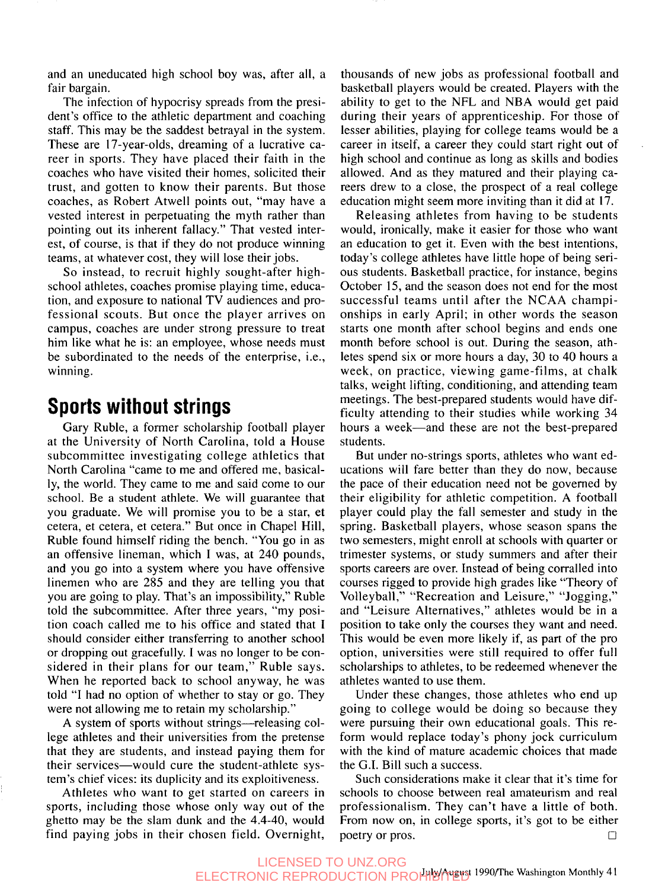and an uneducated high school boy was, after all, a fair bargain.

The infection of hypocrisy spreads from the president's office to the athletic department and coaching staff. This may be the saddest betrayal in the system. These are 17-year-olds, dreaming of a lucrative career in sports. They have placed their faith in the coaches who have visited their homes, solicited their trust, and gotten to know their parents. But those coaches, as Robert Atwell points out, "may have a vested interest in perpetuating the myth rather than pointing out its inherent fallacy." That vested interest, of course, is that if they do not produce winning teams, at whatever cost, they will lose their jobs.

So instead, to recruit highly sought-after highschool athletes, coaches promise playing time, education, and exposure to national TV audiences and professional scouts. But once the player arrives on campus, coaches are under strong pressure to treat him like what he is: an employee, whose needs must be subordinated to the needs of the enterprise, i.e., winning.

## **Sports without strings**

Gary Ruble, a former scholarship football player at the University of North Carolina, told a House subcommittee investigating college athletics that North Carolina "came to me and offered me, basically, the world. They came to me and said come to our school. Be a student athlete. We will guarantee that you graduate. We will promise you to be a star, et cetera, et cetera, et cetera." But once in Chapel Hill, Ruble found himself riding the bench. "You go in as an offensive lineman, which **I** was, at 240 pounds, and you go into a system where you have offensive linemen who are 285 and they are telling you that you are going to play. That's an impossibility," Ruble told the subcommittee. After three years, "my position coach called me to his office and stated that I should consider either transferring to another school or dropping out gracefully. I was no longer to be considered in their plans for our team," Ruble says. When he reported back to school anyway, he was told "I had no option of whether to stay or go. They were not allowing me to retain my scholarship."

A system of sports without strings—releasing college athletes and their universities from the pretense that they are students, and instead paying them for their services-would cure the student-athlete system's chief vices: its duplicity and its exploitiveness.

Athletes who want to get started on careers in sports, including those whose only way out of the ghetto may be the slam dunk and the 4.4-40, would find paying jobs in their chosen field. Overnight,

thousands of new jobs as professional football and basketball players would be created. Players with the ability to get to the NFL and NBA would get paid during their years of apprenticeship. For those of lesser abilities, playing for college teams would be a career in itself, a career they could start right out of high school and continue as long as skills and bodies allowed. And as they matured and their playing careers drew to a close, the prospect of a real college education might seem more inviting than it did at 17.

Releasing athletes from having to be students would, ironically, make it easier for those who want an education to get it. Even with the best intentions, today's college athletes have little hope of being serious students. Basketball practice, for instance, begins October 15, and the season does not end for the most successful teams until after the NCAA championships in early April; in other words the season starts one month after school begins and ends one month before school is out. During the season, athletes spend six or more hours a day, 30 to 40 hours a week, on practice, viewing game-films, at chalk talks, weight lifting, conditioning, and attending team meetings. The best-prepared students would have difficulty attending to their studies while working 34 hours a week-and these are not the best-prepared students.

But under no-strings sports, athletes who want educations will fare better than they do now, because the pace of their education need not be governed by their eligibility for athletic competition. A football player could play the fall semester and study in the spring. Basketball players, whose season spans the two semesters, might enroll at schools with quarter or trimester systems, or study summers and after their sports careers are over. Instead of being corralled into courses rigged to provide high grades like "Theory of Volleyball," "Recreation and Leisure," "Jogging," and "Leisure Alternatives," athletes would be in a position to take only the courses they want and need. This would be even more likely if, as part of the pro option, universities were still required to offer full scholarships to athletes, to be redeemed whenever the athletes wanted to use them.

Under these changes, those athletes who end up going to college would be doing so because they were pursuing their own educational goals. This reform would replace today's phony jock curriculum with the kind of mature academic choices that made the G.I. Bill such a success.

Such considerations make it clear that it's time for schools to choose between real amateurism and real professionalism. They can't have a little of both. From now on, in college sports, it's got to be either poetry or pros.  $\Box$